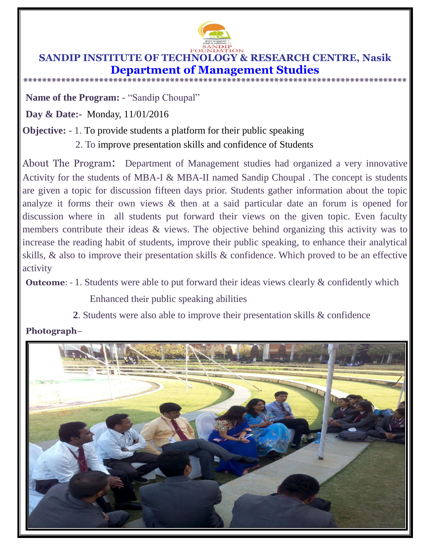

## **SANDIP INSTITUTE OF TECHNOLOGY & RESEARCH CENTRE, Nasik Department of Management Studies**

**\*\*\*\*\*\*\*\*\*\*\*\*\*\*\*\*\*\*\*\*\*\*\*\*\*\*\*\*\*\*\*\*\*\*\*\*\*\*\*\*\*\*\*\*\*\*\*\*\*\*\*\*\*\*\*\*\*\*\*\*\*\*\*\*\*\*\*\*\*\*\*\*\*\*\*\*\*\*\*\*\***

**Name of the Program:** - "Sandip Choupal"

**Day & Date:-** Monday, 11/01/2016

## **Objective:** - 1. To provide students a platform for their public speaking

2. To improve presentation skills and confidence of Students

About The Program: Department of Management studies had organized a very innovative Activity for the students of MBA-I & MBA-II named Sandip Choupal . The concept is students are given a topic for discussion fifteen days prior. Students gather information about the topic analyze it forms their own views & then at a said particular date an forum is opened for discussion where in all students put forward their views on the given topic. Even faculty members contribute their ideas & views. The objective behind organizing this activity was to increase the reading habit of students, improve their public speaking, to enhance their analytical skills, & also to improve their presentation skills & confidence. Which proved to be an effective activity

**Outcome:** - 1. Students were able to put forward their ideas views clearly  $\&$  confidently which

Enhanced their public speaking abilities

**2**. Students were also able to improve their presentation skills & confidence

## **Photograph**–